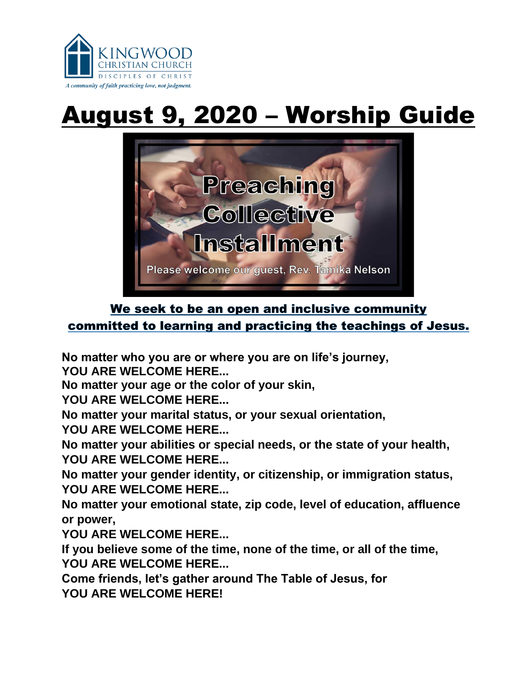

# August 9, 2020 – Worship Guide



# We seek to be an open and inclusive community committed to learning and practicing the teachings of Jesus.

**No matter who you are or where you are on life's journey,** 

**YOU ARE WELCOME HERE...**

**No matter your age or the color of your skin,**

**YOU ARE WELCOME HERE...**

**No matter your marital status, or your sexual orientation,**

**YOU ARE WELCOME HERE...**

**No matter your abilities or special needs, or the state of your health, YOU ARE WELCOME HERE...**

**No matter your gender identity, or citizenship, or immigration status, YOU ARE WELCOME HERE...**

**No matter your emotional state, zip code, level of education, affluence or power,** 

**YOU ARE WELCOME HERE...**

**If you believe some of the time, none of the time, or all of the time, YOU ARE WELCOME HERE...**

**Come friends, let's gather around The Table of Jesus, for YOU ARE WELCOME HERE!**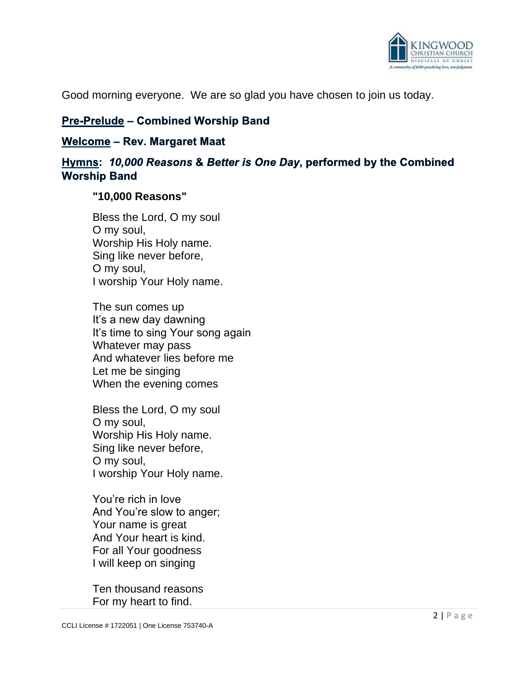

Good morning everyone. We are so glad you have chosen to join us today.

#### **Pre-Prelude - Combined Worship Band**

#### **Welcome - Rev. Margaret Maat**

## Hymns: 10,000 Reasons & Better is One Day, performed by the Combined **Worship Band**

#### **"10,000 Reasons"**

Bless the Lord, O my soul O my soul, Worship His Holy name. Sing like never before, O my soul, I worship Your Holy name.

The sun comes up It's a new day dawning It's time to sing Your song again Whatever may pass And whatever lies before me Let me be singing When the evening comes

Bless the Lord, O my soul O my soul, Worship His Holy name. Sing like never before, O my soul, I worship Your Holy name.

You're rich in love And You're slow to anger; Your name is great And Your heart is kind. For all Your goodness I will keep on singing

Ten thousand reasons For my heart to find.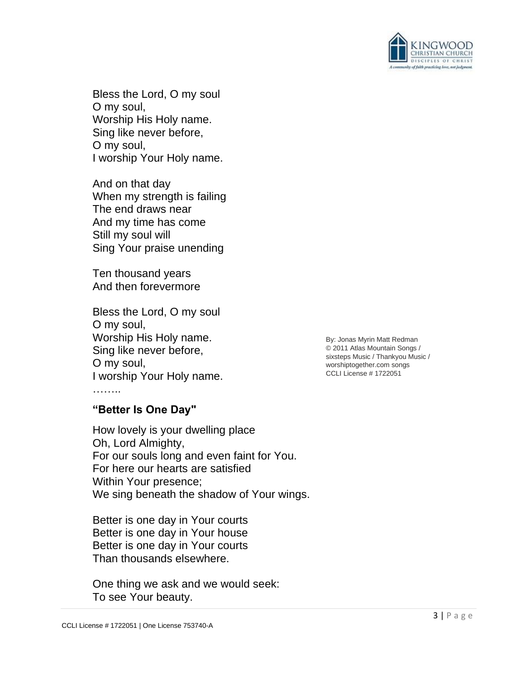

Bless the Lord, O my soul O my soul, Worship His Holy name. Sing like never before, O my soul, I worship Your Holy name.

And on that day When my strength is failing The end draws near And my time has come Still my soul will Sing Your praise unending

Ten thousand years And then forevermore

Bless the Lord, O my soul O my soul, Worship His Holy name. Sing like never before, O my soul, I worship Your Holy name.

By: Jonas Myrin Matt Redman © 2011 Atlas Mountain Songs / sixsteps Music / Thankyou Music / worshiptogether.com songs CCLI License # 1722051

……..

#### **"Better Is One Day"**

How lovely is your dwelling place Oh, Lord Almighty, For our souls long and even faint for You. For here our hearts are satisfied Within Your presence; We sing beneath the shadow of Your wings.

Better is one day in Your courts Better is one day in Your house Better is one day in Your courts Than thousands elsewhere.

One thing we ask and we would seek: To see Your beauty.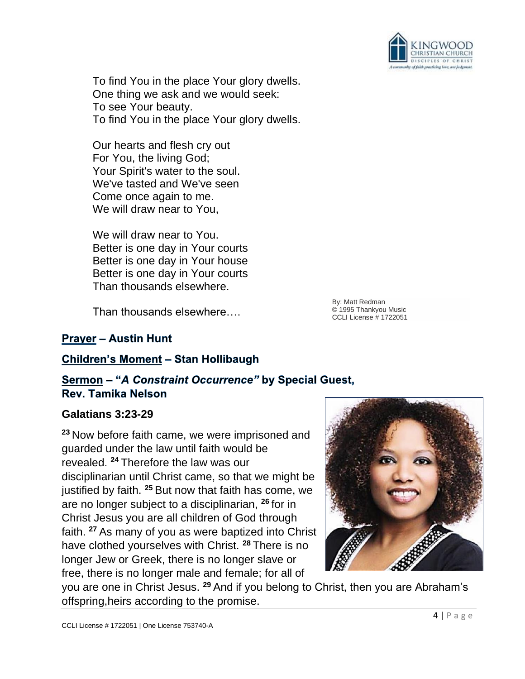

To find You in the place Your glory dwells. One thing we ask and we would seek: To see Your beauty. To find You in the place Your glory dwells.

Our hearts and flesh cry out For You, the living God; Your Spirit's water to the soul. We've tasted and We've seen Come once again to me. We will draw near to You,

We will draw near to You. Better is one day in Your courts Better is one day in Your house Better is one day in Your courts Than thousands elsewhere.

Than thousands elsewhere….

#### **Prayer - Austin Hunt**

#### Children's Moment - Stan Hollibaugh

## Sermon - "A Constraint Occurrence" by Special Guest, Rev. Tamika Nelson

#### **Galatians 3:23-29**

**<sup>23</sup>** Now before faith came, we were imprisoned and guarded under the law until faith would be revealed. **<sup>24</sup>** Therefore the law was our disciplinarian until Christ came, so that we might be justified by faith. **<sup>25</sup>** But now that faith has come, we are no longer subject to a disciplinarian, **<sup>26</sup>** for in Christ Jesus you are all children of God through faith. **<sup>27</sup>** As many of you as were baptized into Christ have clothed yourselves with Christ. **<sup>28</sup>** There is no longer Jew or Greek, there is no longer slave or free, there is no longer male and female; for all of



you are one in Christ Jesus. **<sup>29</sup>** And if you belong to Christ, then you are Abraham's offspring,heirs according to the promise.

By: Matt Redman © 1995 Thankyou Music CCLI License # 1722051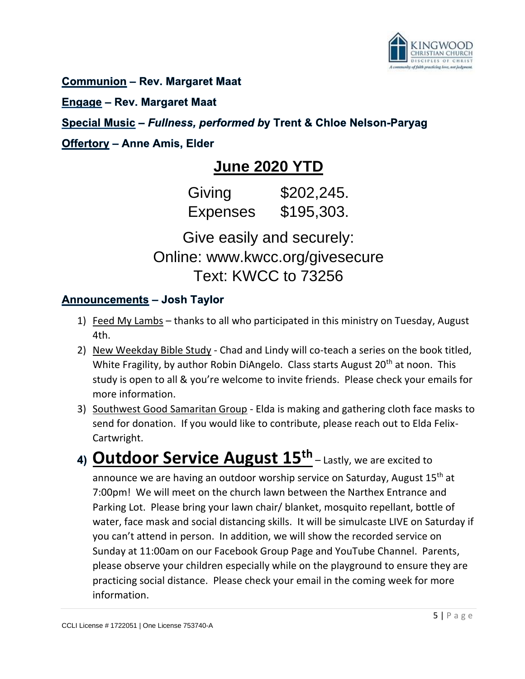

**Communion - Rev. Margaret Maat** 

**Engage - Rev. Margaret Maat** 

Special Music - Fullness, performed by Trent & Chloe Nelson-Paryag

**Offertory - Anne Amis, Elder** 

# **June 2020 YTD**

| Giving          | \$202,245. |
|-----------------|------------|
| <b>Expenses</b> | \$195,303. |

Give easily and securely: Online: www.kwcc.org/givesecure Text: KWCC to 73256

# **Announcements - Josh Taylor**

- 1) Feed My Lambs thanks to all who participated in this ministry on Tuesday, August 4th.
- 2) New Weekday Bible Study Chad and Lindy will co-teach a series on the book titled, White Fragility, by author [Robin DiAngelo.](https://smile.amazon.com/s/ref=dp_byline_sr_book_1?ie=UTF8&field-author=Robin+DiAngelo&text=Robin+DiAngelo&sort=relevancerank&search-alias=books) Class starts August 20<sup>th</sup> at noon. This study is open to all & you're welcome to invite friends. Please check your emails for more information.
- 3) Southwest Good Samaritan Group Elda is making and gathering cloth face masks to send for donation. If you would like to contribute, please reach out to Elda Felix-Cartwright.

# **Outdoor Service August 15<sup>th</sup>** – Lastly, we are excited to

announce we are having an outdoor worship service on Saturday, August 15<sup>th</sup> at 7:00pm! We will meet on the church lawn between the Narthex Entrance and Parking Lot. Please bring your lawn chair/ blanket, mosquito repellant, bottle of water, face mask and social distancing skills. It will be simulcaste LIVE on Saturday if you can't attend in person. In addition, we will show the recorded service on Sunday at 11:00am on our Facebook Group Page and YouTube Channel. Parents, please observe your children especially while on the playground to ensure they are practicing social distance. Please check your email in the coming week for more information.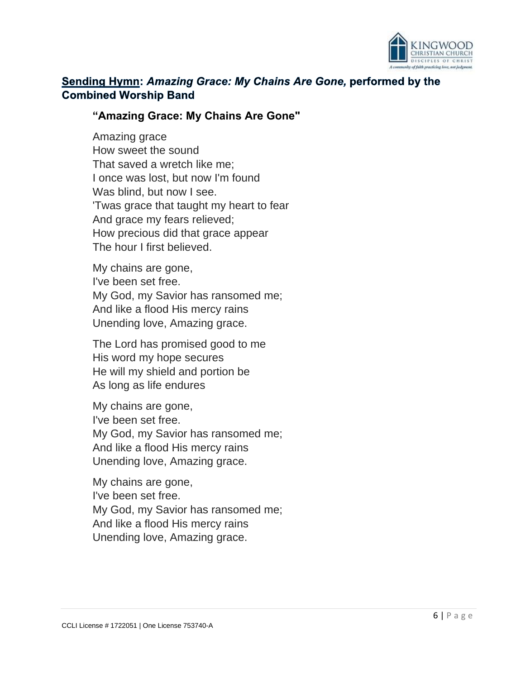

## Sending Hymn: Amazing Grace: My Chains Are Gone, performed by the **Combined Worship Band**

#### **"Amazing Grace: My Chains Are Gone"**

Amazing grace How sweet the sound That saved a wretch like me; I once was lost, but now I'm found Was blind, but now I see. 'Twas grace that taught my heart to fear And grace my fears relieved; How precious did that grace appear The hour I first believed.

My chains are gone, I've been set free. My God, my Savior has ransomed me; And like a flood His mercy rains Unending love, Amazing grace.

The Lord has promised good to me His word my hope secures He will my shield and portion be As long as life endures

My chains are gone, I've been set free. My God, my Savior has ransomed me; And like a flood His mercy rains Unending love, Amazing grace.

My chains are gone, I've been set free. My God, my Savior has ransomed me; And like a flood His mercy rains Unending love, Amazing grace.